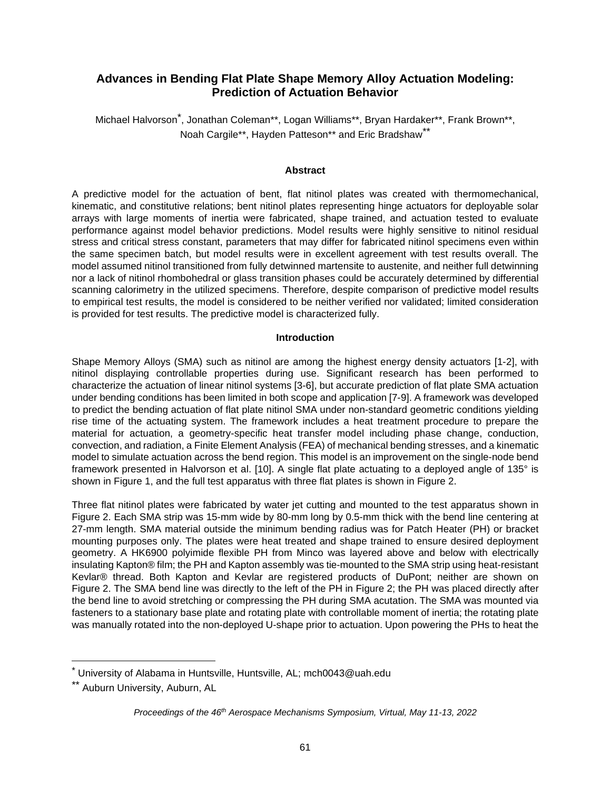# **Advances in Bending Flat Plate Shape Memory Alloy Actuation Modeling: Prediction of Actuation Behavior**

Michael Halvorson[\\*](#page-0-0) , Jonathan Coleman\*\*, Logan Williams\*\*, Bryan Hardaker\*\*, Frank Brown\*\*, Noah Cargile[\\*\\*](#page-0-1), Hayden Patteson\*\* and Eric Bradshaw\*\*

### **Abstract**

A predictive model for the actuation of bent, flat nitinol plates was created with thermomechanical, kinematic, and constitutive relations; bent nitinol plates representing hinge actuators for deployable solar arrays with large moments of inertia were fabricated, shape trained, and actuation tested to evaluate performance against model behavior predictions. Model results were highly sensitive to nitinol residual stress and critical stress constant, parameters that may differ for fabricated nitinol specimens even within the same specimen batch, but model results were in excellent agreement with test results overall. The model assumed nitinol transitioned from fully detwinned martensite to austenite, and neither full detwinning nor a lack of nitinol rhombohedral or glass transition phases could be accurately determined by differential scanning calorimetry in the utilized specimens. Therefore, despite comparison of predictive model results to empirical test results, the model is considered to be neither verified nor validated; limited consideration is provided for test results. The predictive model is characterized fully.

### **Introduction**

Shape Memory Alloys (SMA) such as nitinol are among the highest energy density actuators [1-2], with nitinol displaying controllable properties during use. Significant research has been performed to characterize the actuation of linear nitinol systems [3-6], but accurate prediction of flat plate SMA actuation under bending conditions has been limited in both scope and application [7-9]. A framework was developed to predict the bending actuation of flat plate nitinol SMA under non-standard geometric conditions yielding rise time of the actuating system. The framework includes a heat treatment procedure to prepare the material for actuation, a geometry-specific heat transfer model including phase change, conduction, convection, and radiation, a Finite Element Analysis (FEA) of mechanical bending stresses, and a kinematic model to simulate actuation across the bend region. This model is an improvement on the single-node bend framework presented in Halvorson et al. [10]. A single flat plate actuating to a deployed angle of 135° is shown in Figure 1, and the full test apparatus with three flat plates is shown in Figure 2.

Three flat nitinol plates were fabricated by water jet cutting and mounted to the test apparatus shown in Figure 2. Each SMA strip was 15-mm wide by 80-mm long by 0.5-mm thick with the bend line centering at 27-mm length. SMA material outside the minimum bending radius was for Patch Heater (PH) or bracket mounting purposes only. The plates were heat treated and shape trained to ensure desired deployment geometry. A HK6900 polyimide flexible PH from Minco was layered above and below with electrically insulating Kapton® film; the PH and Kapton assembly was tie-mounted to the SMA strip using heat-resistant Kevlar® thread. Both Kapton and Kevlar are registered products of DuPont; neither are shown on Figure 2. The SMA bend line was directly to the left of the PH in Figure 2; the PH was placed directly after the bend line to avoid stretching or compressing the PH during SMA acutation. The SMA was mounted via fasteners to a stationary base plate and rotating plate with controllable moment of inertia; the rotating plate was manually rotated into the non-deployed U-shape prior to actuation. Upon powering the PHs to heat the

<span id="page-0-1"></span><span id="page-0-0"></span><sup>\*</sup> University of Alabama in Huntsville, Huntsville, AL; mch0043@uah.edu

<sup>\*\*</sup> Auburn University, Auburn, AL

*Proceedings of the 46th Aerospace Mechanisms Symposium, Virtual, May 11-13, 2022*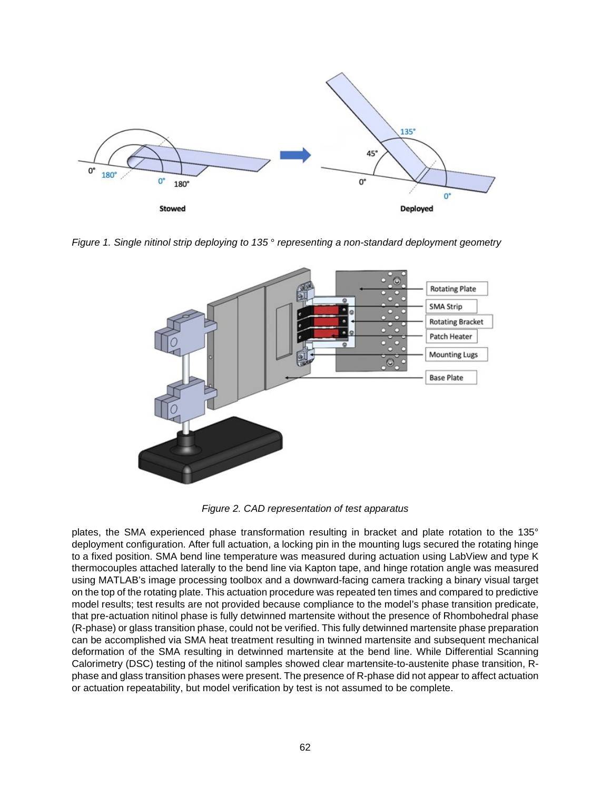

*Figure 1. Single nitinol strip deploying to 135* ° *representing a non-standard deployment geometry*



*Figure 2. CAD representation of test apparatus* 

plates, the SMA experienced phase transformation resulting in bracket and plate rotation to the 135° deployment configuration. After full actuation, a locking pin in the mounting lugs secured the rotating hinge to a fixed position. SMA bend line temperature was measured during actuation using LabView and type K thermocouples attached laterally to the bend line via Kapton tape, and hinge rotation angle was measured using MATLAB's image processing toolbox and a downward-facing camera tracking a binary visual target on the top of the rotating plate. This actuation procedure was repeated ten times and compared to predictive model results; test results are not provided because compliance to the model's phase transition predicate, that pre-actuation nitinol phase is fully detwinned martensite without the presence of Rhombohedral phase (R-phase) or glass transition phase, could not be verified. This fully detwinned martensite phase preparation can be accomplished via SMA heat treatment resulting in twinned martensite and subsequent mechanical deformation of the SMA resulting in detwinned martensite at the bend line. While Differential Scanning Calorimetry (DSC) testing of the nitinol samples showed clear martensite-to-austenite phase transition, Rphase and glass transition phases were present. The presence of R-phase did not appear to affect actuation or actuation repeatability, but model verification by test is not assumed to be complete.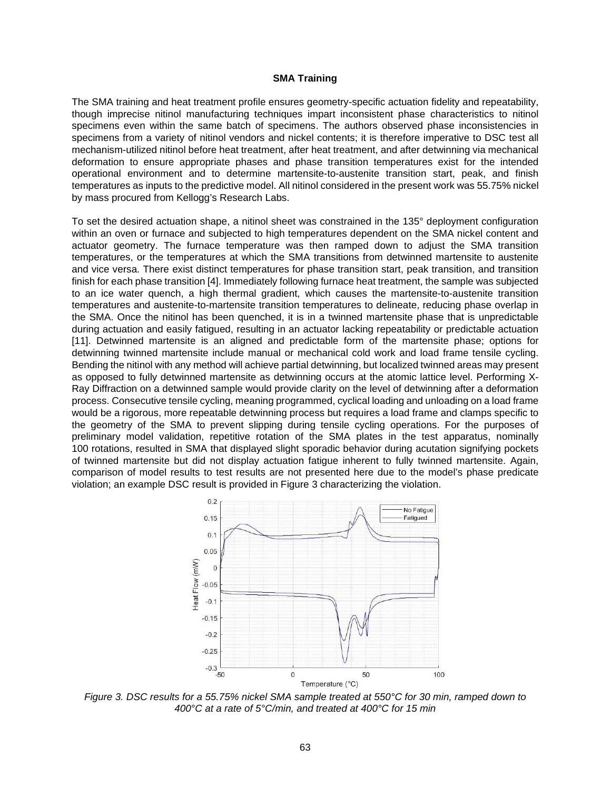#### **SMA Training**

The SMA training and heat treatment profile ensures geometry-specific actuation fidelity and repeatability, though imprecise nitinol manufacturing techniques impart inconsistent phase characteristics to nitinol specimens even within the same batch of specimens. The authors observed phase inconsistencies in specimens from a variety of nitinol vendors and nickel contents; it is therefore imperative to DSC test all mechanism-utilized nitinol before heat treatment, after heat treatment, and after detwinning via mechanical deformation to ensure appropriate phases and phase transition temperatures exist for the intended operational environment and to determine martensite-to-austenite transition start, peak, and finish temperatures as inputs to the predictive model. All nitinol considered in the present work was 55.75% nickel by mass procured from Kellogg's Research Labs.

To set the desired actuation shape, a nitinol sheet was constrained in the 135° deployment configuration within an oven or furnace and subjected to high temperatures dependent on the SMA nickel content and actuator geometry. The furnace temperature was then ramped down to adjust the SMA transition temperatures, or the temperatures at which the SMA transitions from detwinned martensite to austenite and vice versa. There exist distinct temperatures for phase transition start, peak transition, and transition finish for each phase transition [4]. Immediately following furnace heat treatment, the sample was subjected to an ice water quench, a high thermal gradient, which causes the martensite-to-austenite transition temperatures and austenite-to-martensite transition temperatures to delineate, reducing phase overlap in the SMA. Once the nitinol has been quenched, it is in a twinned martensite phase that is unpredictable during actuation and easily fatigued, resulting in an actuator lacking repeatability or predictable actuation [11]. Detwinned martensite is an aligned and predictable form of the martensite phase; options for detwinning twinned martensite include manual or mechanical cold work and load frame tensile cycling. Bending the nitinol with any method will achieve partial detwinning, but localized twinned areas may present as opposed to fully detwinned martensite as detwinning occurs at the atomic lattice level. Performing X-Ray Diffraction on a detwinned sample would provide clarity on the level of detwinning after a deformation process. Consecutive tensile cycling, meaning programmed, cyclical loading and unloading on a load frame would be a rigorous, more repeatable detwinning process but requires a load frame and clamps specific to the geometry of the SMA to prevent slipping during tensile cycling operations. For the purposes of preliminary model validation, repetitive rotation of the SMA plates in the test apparatus, nominally 100 rotations, resulted in SMA that displayed slight sporadic behavior during acutation signifying pockets of twinned martensite but did not display actuation fatigue inherent to fully twinned martensite. Again, comparison of model results to test results are not presented here due to the model's phase predicate violation; an example DSC result is provided in Figure 3 characterizing the violation.



*Figure 3. DSC results for a 55.75% nickel SMA sample treated at 550°C for 30 min, ramped down to 400°C at a rate of 5°C/min, and treated at 400°C for 15 min*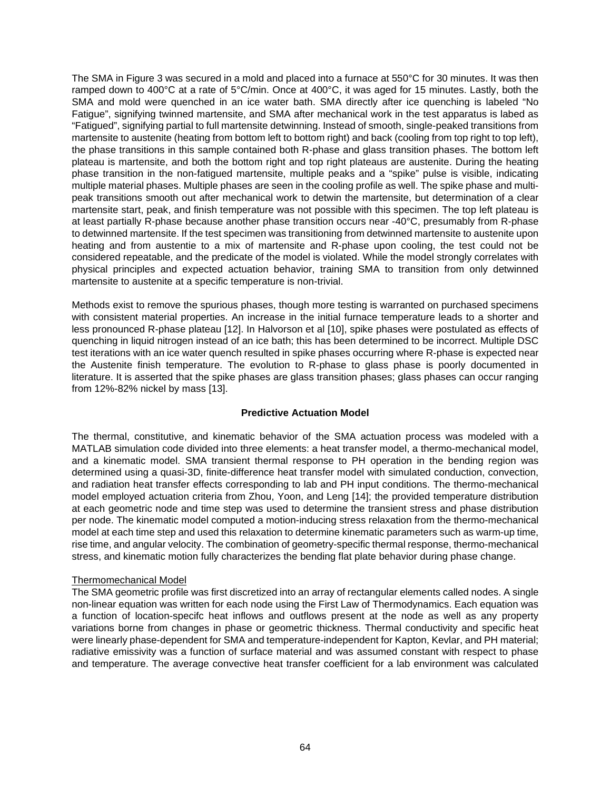The SMA in Figure 3 was secured in a mold and placed into a furnace at 550°C for 30 minutes. It was then ramped down to 400°C at a rate of 5°C/min. Once at 400°C, it was aged for 15 minutes. Lastly, both the SMA and mold were quenched in an ice water bath. SMA directly after ice quenching is labeled "No Fatigue", signifying twinned martensite, and SMA after mechanical work in the test apparatus is labed as "Fatigued", signifying partial to full martensite detwinning. Instead of smooth, single-peaked transitions from martensite to austenite (heating from bottom left to bottom right) and back (cooling from top right to top left), the phase transitions in this sample contained both R-phase and glass transition phases. The bottom left plateau is martensite, and both the bottom right and top right plateaus are austenite. During the heating phase transition in the non-fatigued martensite, multiple peaks and a "spike" pulse is visible, indicating multiple material phases. Multiple phases are seen in the cooling profile as well. The spike phase and multipeak transitions smooth out after mechanical work to detwin the martensite, but determination of a clear martensite start, peak, and finish temperature was not possible with this specimen. The top left plateau is at least partially R-phase because another phase transition occurs near -40°C, presumably from R-phase to detwinned martensite. If the test specimen was transitioning from detwinned martensite to austenite upon heating and from austentie to a mix of martensite and R-phase upon cooling, the test could not be considered repeatable, and the predicate of the model is violated. While the model strongly correlates with physical principles and expected actuation behavior, training SMA to transition from only detwinned martensite to austenite at a specific temperature is non-trivial.

Methods exist to remove the spurious phases, though more testing is warranted on purchased specimens with consistent material properties. An increase in the initial furnace temperature leads to a shorter and less pronounced R-phase plateau [12]. In Halvorson et al [10], spike phases were postulated as effects of quenching in liquid nitrogen instead of an ice bath; this has been determined to be incorrect. Multiple DSC test iterations with an ice water quench resulted in spike phases occurring where R-phase is expected near the Austenite finish temperature. The evolution to R-phase to glass phase is poorly documented in literature. It is asserted that the spike phases are glass transition phases; glass phases can occur ranging from 12%-82% nickel by mass [13].

### **Predictive Actuation Model**

The thermal, constitutive, and kinematic behavior of the SMA actuation process was modeled with a MATLAB simulation code divided into three elements: a heat transfer model, a thermo-mechanical model, and a kinematic model. SMA transient thermal response to PH operation in the bending region was determined using a quasi-3D, finite-difference heat transfer model with simulated conduction, convection, and radiation heat transfer effects corresponding to lab and PH input conditions. The thermo-mechanical model employed actuation criteria from Zhou, Yoon, and Leng [14]; the provided temperature distribution at each geometric node and time step was used to determine the transient stress and phase distribution per node. The kinematic model computed a motion-inducing stress relaxation from the thermo-mechanical model at each time step and used this relaxation to determine kinematic parameters such as warm-up time, rise time, and angular velocity. The combination of geometry-specific thermal response, thermo-mechanical stress, and kinematic motion fully characterizes the bending flat plate behavior during phase change.

### Thermomechanical Model

The SMA geometric profile was first discretized into an array of rectangular elements called nodes. A single non-linear equation was written for each node using the First Law of Thermodynamics. Each equation was a function of location-specifc heat inflows and outflows present at the node as well as any property variations borne from changes in phase or geometric thickness. Thermal conductivity and specific heat were linearly phase-dependent for SMA and temperature-independent for Kapton, Kevlar, and PH material; radiative emissivity was a function of surface material and was assumed constant with respect to phase and temperature. The average convective heat transfer coefficient for a lab environment was calculated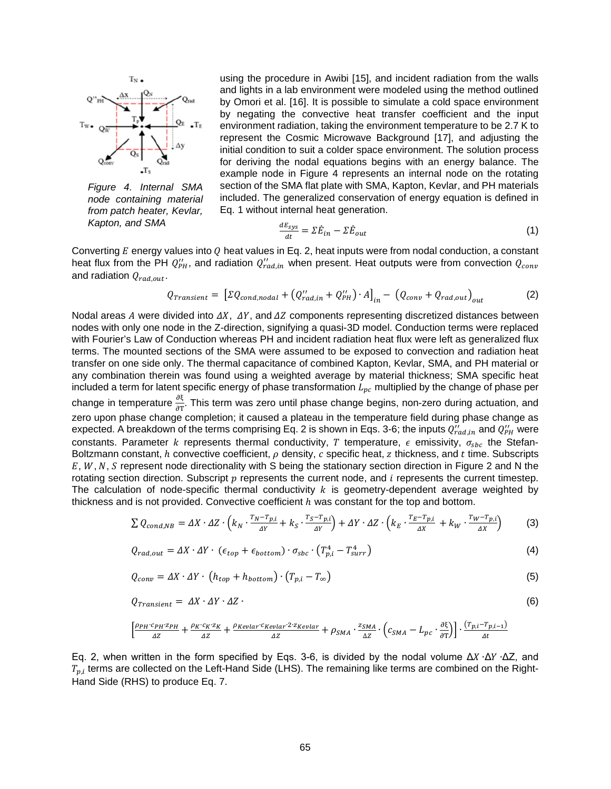

*Figure 4. Internal SMA node containing material from patch heater, Kevlar, Kapton, and SMA*

using the procedure in Awibi [15], and incident radiation from the walls and lights in a lab environment were modeled using the method outlined by Omori et al. [16]. It is possible to simulate a cold space environment by negating the convective heat transfer coefficient and the input environment radiation, taking the environment temperature to be 2.7 K to represent the Cosmic Microwave Background [17], and adjusting the initial condition to suit a colder space environment. The solution process for deriving the nodal equations begins with an energy balance. The example node in Figure 4 represents an internal node on the rotating section of the SMA flat plate with SMA, Kapton, Kevlar, and PH materials included. The generalized conservation of energy equation is defined in Eq. 1 without internal heat generation.

$$
\frac{dE_{sys}}{dt} = \Sigma \dot{E}_{in} - \Sigma \dot{E}_{out}
$$
 (1)

Converting  $E$  energy values into  $Q$  heat values in Eq. 2, heat inputs were from nodal conduction, a constant heat flux from the PH  $Q''_{PH}$ , and radiation  $Q''_{rad,in}$  when present. Heat outputs were from convection  $Q_{conv}$ and radiation  $Q_{rad,out}.$ 

$$
Q_{transient} = \left[ \Sigma Q_{cond,nodal} + \left( Q_{rad,in}^{\prime\prime} + Q_{PH}^{\prime\prime} \right) \cdot A \right]_{in} - \left( Q_{conv} + Q_{rad,out} \right)_{out} \tag{2}
$$

Nodal areas A were divided into  $\Delta X$ ,  $\Delta Y$ , and  $\Delta Z$  components representing discretized distances between nodes with only one node in the Z-direction, signifying a quasi-3D model. Conduction terms were replaced with Fourier's Law of Conduction whereas PH and incident radiation heat flux were left as generalized flux terms. The mounted sections of the SMA were assumed to be exposed to convection and radiation heat transfer on one side only. The thermal capacitance of combined Kapton, Kevlar, SMA, and PH material or any combination therein was found using a weighted average by material thickness; SMA specific heat included a term for latent specific energy of phase transformation  $L_{pc}$  multiplied by the change of phase per change in temperature  $\frac{\partial \xi}{\partial T}$ . This term was zero until phase change begins, non-zero during actuation, and zero upon phase change completion; it caused a plateau in the temperature field during phase change as expected. A breakdown of the terms comprising Eq. 2 is shown in Eqs. 3-6; the inputs  $Q''_{rad,in}$  and  $Q''_{PH}$  were constants. Parameter k represents thermal conductivity, T temperature,  $\epsilon$  emissivity,  $\sigma_{sbc}$  the Stefan-Boltzmann constant,  $h$  convective coefficient,  $\rho$  density,  $c$  specific heat,  $z$  thickness, and  $t$  time. Subscripts  $E, W, N, S$  represent node directionality with S being the stationary section direction in Figure 2 and N the rotating section direction. Subscript  $p$  represents the current node, and  $i$  represents the current timestep. The calculation of node-specific thermal conductivity  $k$  is geometry-dependent average weighted by thickness and is not provided. Convective coefficient  $h$  was constant for the top and bottom.

$$
\sum Q_{cond,NB} = \Delta X \cdot \Delta Z \cdot \left( k_N \cdot \frac{r_N - r_{p,i}}{\Delta Y} + k_S \cdot \frac{r_S - r_{p,i}}{\Delta Y} \right) + \Delta Y \cdot \Delta Z \cdot \left( k_E \cdot \frac{r_E - r_{p,i}}{\Delta X} + k_W \cdot \frac{r_W - r_{p,i}}{\Delta X} \right) \tag{3}
$$

$$
Q_{rad,out} = \Delta X \cdot \Delta Y \cdot (\epsilon_{top} + \epsilon_{bottom}) \cdot \sigma_{sbc} \cdot (T_{p,i}^4 - T_{surr}^4)
$$
\n(4)

$$
Q_{conv} = \Delta X \cdot \Delta Y \cdot \left( h_{top} + h_{bottom} \right) \cdot \left( T_{p,i} - T_{\infty} \right) \tag{5}
$$

$$
Q_{transient} = \Delta X \cdot \Delta Y \cdot \Delta Z \tag{6}
$$

$$
\left[\frac{\rho_{PH}c_{PH}z_{PH}}{\Delta Z}+\frac{\rho_{K}c_{K}z_{K}}{\Delta Z}+\frac{\rho_{Keular}c_{Keular}z_{Zeular}}{\Delta Z}+\rho_{SMA}\cdot\frac{z_{SMA}}{\Delta Z}\cdot\left(c_{SMA}-L_{pc}\cdot\frac{\partial\xi}{\partial T}\right)\right]\cdot\frac{(T_{p,i}-T_{p,i-1})}{\Delta t}
$$

Eq. 2, when written in the form specified by Eqs. 3-6, is divided by the nodal volume  $ΔX \cdot ΔY \cdot ΔZ$ , and  $T_{p,i}$  terms are collected on the Left-Hand Side (LHS). The remaining like terms are combined on the Right-Hand Side (RHS) to produce Eq. 7.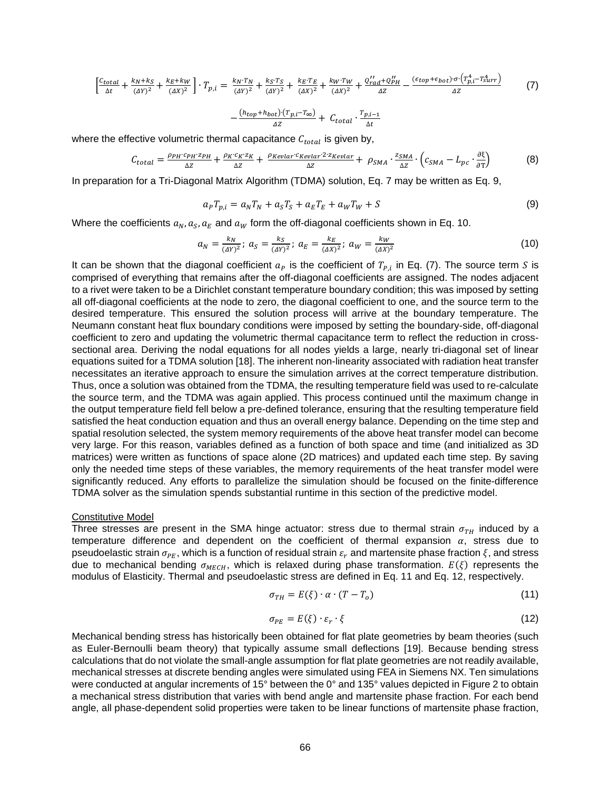$$
\left[\frac{c_{total}}{\Delta t} + \frac{k_N + k_S}{(\Delta Y)^2} + \frac{k_E + k_W}{(\Delta X)^2}\right] \cdot T_{p,i} = \frac{k_N \cdot T_N}{(\Delta Y)^2} + \frac{k_S \cdot T_S}{(\Delta Y)^2} + \frac{k_E \cdot T_E}{(\Delta X)^2} + \frac{k_W \cdot T_W}{(\Delta X)^2} + \frac{Q'_{rad} + Q'_{PH}}{\Delta Z} - \frac{(\epsilon_{top} + \epsilon_{bot}) \cdot \sigma \cdot (T_{p,i}^4 - T_{surr}^4)}{\Delta Z} \tag{7}
$$
\n
$$
-\frac{(h_{top} + h_{bot}) \cdot (T_{p,i} - T_{\infty})}{\Delta Z} + C_{total} \cdot \frac{T_{p,i-1}}{\Delta t}
$$

where the effective volumetric thermal capacitance  $\mathcal{C}_{total}$  is given by,

$$
C_{total} = \frac{\rho_{PH}c_{PH}z_{PH}}{\Delta z} + \frac{\rho_{K}c_{K}z_{K}}{\Delta z} + \frac{\rho_{Keular}c_{Keular}z_{Z\&well}}{\Delta z} + \rho_{SMA} \cdot \frac{z_{SMA}}{\Delta z} \cdot \left(c_{SMA} - L_{pc} \cdot \frac{\partial \xi}{\partial T}\right)
$$
(8)

In preparation for a Tri-Diagonal Matrix Algorithm (TDMA) solution, Eq. 7 may be written as Eq. 9,

$$
aPTp,i = aNTN + aSTS + aETE + aWTW + S
$$
\n(9)

Where the coefficients  $a_N, a_S, a_E$  and  $a_W$  form the off-diagonal coefficients shown in Eq. 10.

$$
a_N = \frac{k_N}{(\Delta Y)^2}; \ a_S = \frac{k_S}{(\Delta Y)^2}; \ a_E = \frac{k_E}{(\Delta X)^2}; \ a_W = \frac{k_W}{(\Delta X)^2}
$$
(10)

It can be shown that the diagonal coefficient  $a_P$  is the coefficient of  $T_{P,i}$  in Eq. (7). The source term S is comprised of everything that remains after the off-diagonal coefficients are assigned. The nodes adjacent to a rivet were taken to be a Dirichlet constant temperature boundary condition; this was imposed by setting all off-diagonal coefficients at the node to zero, the diagonal coefficient to one, and the source term to the desired temperature. This ensured the solution process will arrive at the boundary temperature. The Neumann constant heat flux boundary conditions were imposed by setting the boundary-side, off-diagonal coefficient to zero and updating the volumetric thermal capacitance term to reflect the reduction in crosssectional area. Deriving the nodal equations for all nodes yields a large, nearly tri-diagonal set of linear equations suited for a TDMA solution [18]. The inherent non-linearity associated with radiation heat transfer necessitates an iterative approach to ensure the simulation arrives at the correct temperature distribution. Thus, once a solution was obtained from the TDMA, the resulting temperature field was used to re-calculate the source term, and the TDMA was again applied. This process continued until the maximum change in the output temperature field fell below a pre-defined tolerance, ensuring that the resulting temperature field satisfied the heat conduction equation and thus an overall energy balance. Depending on the time step and spatial resolution selected, the system memory requirements of the above heat transfer model can become very large. For this reason, variables defined as a function of both space and time (and initialized as 3D matrices) were written as functions of space alone (2D matrices) and updated each time step. By saving only the needed time steps of these variables, the memory requirements of the heat transfer model were significantly reduced. Any efforts to parallelize the simulation should be focused on the finite-difference TDMA solver as the simulation spends substantial runtime in this section of the predictive model.

#### Constitutive Model

Three stresses are present in the SMA hinge actuator: stress due to thermal strain  $\sigma_{TH}$  induced by a temperature difference and dependent on the coefficient of thermal expansion  $\alpha$ , stress due to pseudoelastic strain  $\sigma_{PE}$ , which is a function of residual strain  $\varepsilon_r$  and martensite phase fraction  $\xi$ , and stress due to mechanical bending  $\sigma_{MECH}$ , which is relaxed during phase transformation.  $E(\xi)$  represents the modulus of Elasticity. Thermal and pseudoelastic stress are defined in Eq. 11 and Eq. 12, respectively.

$$
\sigma_{TH} = E(\xi) \cdot \alpha \cdot (T - T_o) \tag{11}
$$

$$
\sigma_{PE} = E(\xi) \cdot \varepsilon_r \cdot \xi \tag{12}
$$

Mechanical bending stress has historically been obtained for flat plate geometries by beam theories (such as Euler-Bernoulli beam theory) that typically assume small deflections [19]. Because bending stress calculations that do not violate the small-angle assumption for flat plate geometries are not readily available, mechanical stresses at discrete bending angles were simulated using FEA in Siemens NX. Ten simulations were conducted at angular increments of 15° between the 0° and 135° values depicted in Figure 2 to obtain a mechanical stress distribution that varies with bend angle and martensite phase fraction. For each bend angle, all phase-dependent solid properties were taken to be linear functions of martensite phase fraction,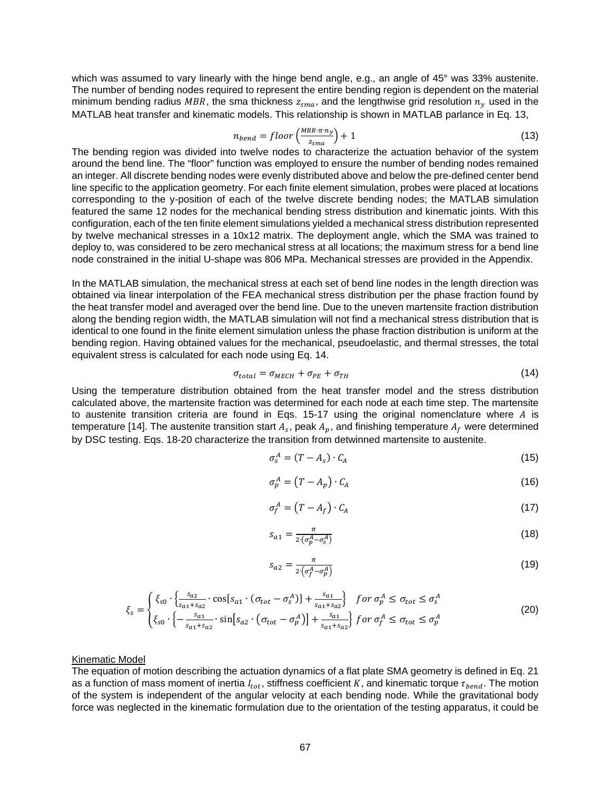which was assumed to vary linearly with the hinge bend angle, e.g., an angle of 45° was 33% austenite. The number of bending nodes required to represent the entire bending region is dependent on the material minimum bending radius MBR, the sma thickness  $z_{sma}$ , and the lengthwise grid resolution  $n_y$  used in the MATLAB heat transfer and kinematic models. This relationship is shown in MATLAB parlance in Eq. 13,

$$
n_{bend} = floor\left(\frac{MBR \cdot \pi \cdot n_y}{z_{sma}}\right) + 1
$$
\n(13)

The bending region was divided into twelve nodes to characterize the actuation behavior of the system around the bend line. The "floor" function was employed to ensure the number of bending nodes remained an integer. All discrete bending nodes were evenly distributed above and below the pre-defined center bend line specific to the application geometry. For each finite element simulation, probes were placed at locations corresponding to the y-position of each of the twelve discrete bending nodes; the MATLAB simulation featured the same 12 nodes for the mechanical bending stress distribution and kinematic joints. With this configuration, each of the ten finite element simulations yielded a mechanical stress distribution represented by twelve mechanical stresses in a 10x12 matrix. The deployment angle, which the SMA was trained to deploy to, was considered to be zero mechanical stress at all locations; the maximum stress for a bend line node constrained in the initial U-shape was 806 MPa. Mechanical stresses are provided in the Appendix.

In the MATLAB simulation, the mechanical stress at each set of bend line nodes in the length direction was obtained via linear interpolation of the FEA mechanical stress distribution per the phase fraction found by the heat transfer model and averaged over the bend line. Due to the uneven martensite fraction distribution along the bending region width, the MATLAB simulation will not find a mechanical stress distribution that is identical to one found in the finite element simulation unless the phase fraction distribution is uniform at the bending region. Having obtained values for the mechanical, pseudoelastic, and thermal stresses, the total equivalent stress is calculated for each node using Eq. 14.

$$
\sigma_{total} = \sigma_{MECH} + \sigma_{PE} + \sigma_{TH} \tag{14}
$$

Using the temperature distribution obtained from the heat transfer model and the stress distribution calculated above, the martensite fraction was determined for each node at each time step. The martensite to austenite transition criteria are found in Eqs. 15-17 using the original nomenclature where  $A$  is temperature [14]. The austenite transition start  $A_s$ , peak  $A_p$ , and finishing temperature  $A_f$  were determined by DSC testing. Eqs. 18-20 characterize the transition from detwinned martensite to austenite.

$$
\sigma_s^A = (T - A_s) \cdot C_A \tag{15}
$$

$$
\sigma_p^A = (T - A_p) \cdot C_A \tag{16}
$$

$$
\sigma_f^A = (T - A_f) \cdot C_A \tag{17}
$$

$$
s_{a1} = \frac{\pi}{2 \cdot (\sigma_p^A - \sigma_s^A)}
$$
 (18)

$$
s_{a2} = \frac{\pi}{2\left(\sigma_f^A - \sigma_p^A\right)}\tag{19}
$$

$$
\xi_{s} = \begin{cases} \xi_{s0} \cdot \left\{ \frac{s_{a2}}{s_{a1} + s_{a2}} \cdot \cos[s_{a1} \cdot (\sigma_{tot} - \sigma_{s}^{A})] + \frac{s_{a1}}{s_{a1} + s_{a2}} \right\} & \text{for } \sigma_{p}^{A} \leq \sigma_{tot} \leq \sigma_{s}^{A} \\ \xi_{s0} \cdot \left\{ -\frac{s_{a1}}{s_{a1} + s_{a2}} \cdot \sin[s_{a2} \cdot (\sigma_{tot} - \sigma_{p}^{A})] + \frac{s_{a1}}{s_{a1} + s_{a2}} \right\} & \text{for } \sigma_{f}^{A} \leq \sigma_{tot} \leq \sigma_{p}^{A} \end{cases} \tag{20}
$$

#### Kinematic Model

The equation of motion describing the actuation dynamics of a flat plate SMA geometry is defined in Eq. 21 as a function of mass moment of inertia  $I_{tot}$ , stiffness coefficient K, and kinematic torque  $\tau_{bend}$ . The motion of the system is independent of the angular velocity at each bending node. While the gravitational body force was neglected in the kinematic formulation due to the orientation of the testing apparatus, it could be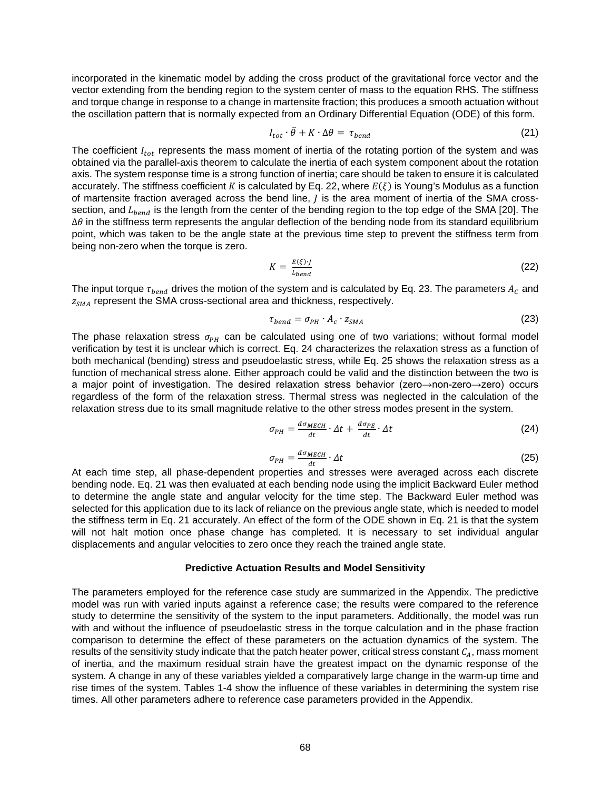incorporated in the kinematic model by adding the cross product of the gravitational force vector and the vector extending from the bending region to the system center of mass to the equation RHS. The stiffness and torque change in response to a change in martensite fraction; this produces a smooth actuation without the oscillation pattern that is normally expected from an Ordinary Differential Equation (ODE) of this form.

$$
I_{tot} \cdot \ddot{\theta} + K \cdot \Delta \theta = \tau_{bend} \tag{21}
$$

The coefficient  $I_{tot}$  represents the mass moment of inertia of the rotating portion of the system and was obtained via the parallel-axis theorem to calculate the inertia of each system component about the rotation axis. The system response time is a strong function of inertia; care should be taken to ensure it is calculated accurately. The stiffness coefficient K is calculated by Eq. 22, where  $E(\xi)$  is Young's Modulus as a function of martensite fraction averaged across the bend line,  $J$  is the area moment of inertia of the SMA crosssection, and  $L_{bend}$  is the length from the center of the bending region to the top edge of the SMA [20]. The ∆*θ* in the stiffness term represents the angular deflection of the bending node from its standard equilibrium point, which was taken to be the angle state at the previous time step to prevent the stiffness term from being non-zero when the torque is zero.

$$
K = \frac{E(\xi) \cdot f}{L_{bend}} \tag{22}
$$

The input torque  $\tau_{bend}$  drives the motion of the system and is calculated by Eq. 23. The parameters  $A_c$  and  $z_{SMA}$  represent the SMA cross-sectional area and thickness, respectively.

$$
\tau_{bend} = \sigma_{PH} \cdot A_c \cdot z_{SMA} \tag{23}
$$

The phase relaxation stress  $\sigma_{PH}$  can be calculated using one of two variations; without formal model verification by test it is unclear which is correct. Eq. 24 characterizes the relaxation stress as a function of both mechanical (bending) stress and pseudoelastic stress, while Eq. 25 shows the relaxation stress as a function of mechanical stress alone. Either approach could be valid and the distinction between the two is a major point of investigation. The desired relaxation stress behavior (zero→non-zero→zero) occurs regardless of the form of the relaxation stress. Thermal stress was neglected in the calculation of the relaxation stress due to its small magnitude relative to the other stress modes present in the system.

$$
\sigma_{PH} = \frac{d\sigma_{MECH}}{dt} \cdot \Delta t + \frac{d\sigma_{PE}}{dt} \cdot \Delta t \tag{24}
$$

$$
\sigma_{PH} = \frac{d\sigma_{MECH}}{dt} \cdot \Delta t \tag{25}
$$

At each time step, all phase-dependent properties and stresses were averaged across each discrete bending node. Eq. 21 was then evaluated at each bending node using the implicit Backward Euler method to determine the angle state and angular velocity for the time step. The Backward Euler method was selected for this application due to its lack of reliance on the previous angle state, which is needed to model the stiffness term in Eq. 21 accurately. An effect of the form of the ODE shown in Eq. 21 is that the system will not halt motion once phase change has completed. It is necessary to set individual angular displacements and angular velocities to zero once they reach the trained angle state.

#### **Predictive Actuation Results and Model Sensitivity**

The parameters employed for the reference case study are summarized in the Appendix. The predictive model was run with varied inputs against a reference case; the results were compared to the reference study to determine the sensitivity of the system to the input parameters. Additionally, the model was run with and without the influence of pseudoelastic stress in the torque calculation and in the phase fraction comparison to determine the effect of these parameters on the actuation dynamics of the system. The results of the sensitivity study indicate that the patch heater power, critical stress constant  $C_A$ , mass moment of inertia, and the maximum residual strain have the greatest impact on the dynamic response of the system. A change in any of these variables yielded a comparatively large change in the warm-up time and rise times of the system. Tables 1-4 show the influence of these variables in determining the system rise times. All other parameters adhere to reference case parameters provided in the Appendix.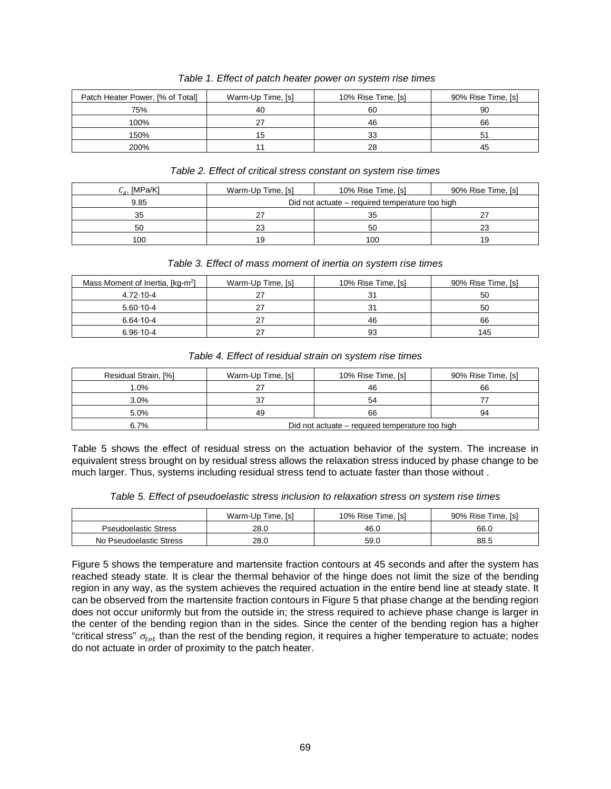| Patch Heater Power, [% of Total] | Warm-Up Time, [s] | 10% Rise Time, [s] | 90% Rise Time, [s] |
|----------------------------------|-------------------|--------------------|--------------------|
| 75%                              | 40                | 60                 | 90                 |
| 100%                             |                   | 46                 | 66                 |
| 150%                             |                   | 33                 | 51                 |
| 200%                             |                   | 28                 | 45                 |

 *Table 1. Effect of patch heater power on system rise times* 

### *Table 2. Effect of critical stress constant on system rise times*

| $C_A$ , [MPa/K] | Warm-Up Time, [s] | 10% Rise Time, [s]                              | 90% Rise Time, [s] |
|-----------------|-------------------|-------------------------------------------------|--------------------|
| 9.85            |                   | Did not actuate – required temperature too high |                    |
| 35              | 27                | 35                                              |                    |
| 50              | 23                | 50                                              | 23                 |
| 100             | 19                | 100                                             | 19                 |

## *Table 3. Effect of mass moment of inertia on system rise times*

| Mass Moment of Inertia, [kg-m <sup>2</sup> ] | Warm-Up Time, [s] | 10% Rise Time, [s] | 90% Rise Time, [s] |
|----------------------------------------------|-------------------|--------------------|--------------------|
| $4.72 \cdot 10 - 4$                          |                   | 31                 | 50                 |
| $5.60 \cdot 10 - 4$                          | 27                | 31                 | 50                 |
| $6.64 \cdot 10 - 4$                          | 27                | 46                 | 66                 |
| $6.96 \cdot 10 - 4$                          | 27                | 93                 | 145                |

### *Table 4. Effect of residual strain on system rise times*

| Residual Strain, [%] | Warm-Up Time, [s]                               | 10% Rise Time, [s] | 90% Rise Time, [s] |  |  |
|----------------------|-------------------------------------------------|--------------------|--------------------|--|--|
| 1.0%                 |                                                 | 46                 | 66                 |  |  |
| 3.0%                 |                                                 | 54                 |                    |  |  |
| 5.0%                 | 49                                              | 66                 | 94                 |  |  |
| 6.7%                 | Did not actuate – required temperature too high |                    |                    |  |  |

Table 5 shows the effect of residual stress on the actuation behavior of the system. The increase in equivalent stress brought on by residual stress allows the relaxation stress induced by phase change to be much larger. Thus, systems including residual stress tend to actuate faster than those without .

|  |  | Table 5. Effect of pseudoelastic stress inclusion to relaxation stress on system rise times |
|--|--|---------------------------------------------------------------------------------------------|
|  |  |                                                                                             |

|                             | Warm-Up Time, [s] | 10% Rise Time, [s] | 90% Rise Time, [s] |
|-----------------------------|-------------------|--------------------|--------------------|
| <b>Pseudoelastic Stress</b> | 28.0              | 46.0               | 66.0               |
| No Pseudoelastic Stress     | 28.0              | 59.0               | 88.5               |

Figure 5 shows the temperature and martensite fraction contours at 45 seconds and after the system has reached steady state. It is clear the thermal behavior of the hinge does not limit the size of the bending region in any way, as the system achieves the required actuation in the entire bend line at steady state. It can be observed from the martensite fraction contours in Figure 5 that phase change at the bending region does not occur uniformly but from the outside in; the stress required to achieve phase change is larger in the center of the bending region than in the sides. Since the center of the bending region has a higher "critical stress"  $\sigma_{tot}$  than the rest of the bending region, it requires a higher temperature to actuate; nodes do not actuate in order of proximity to the patch heater.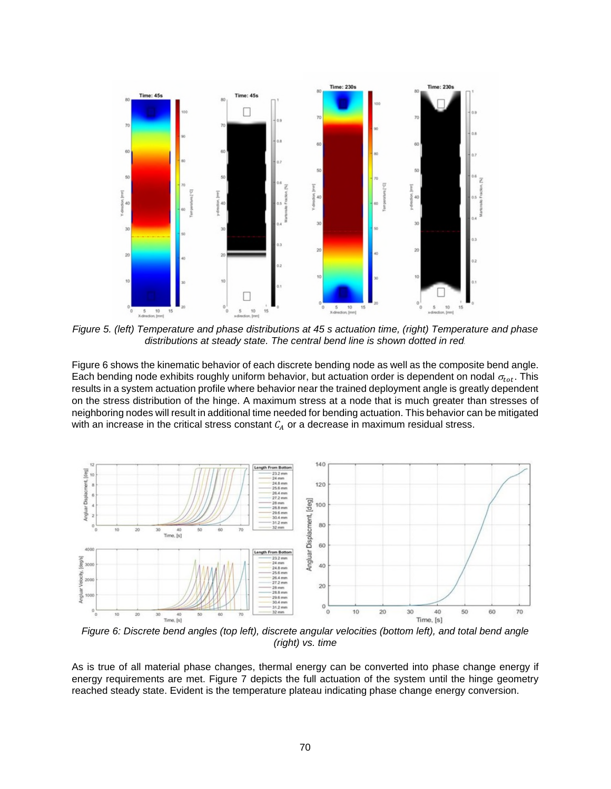

*Figure 5. (left) Temperature and phase distributions at 45 s actuation time, (right) Temperature and phase distributions at steady state. The central bend line is shown dotted in red.* 

Figure 6 shows the kinematic behavior of each discrete bending node as well as the composite bend angle. Each bending node exhibits roughly uniform behavior, but actuation order is dependent on nodal  $\sigma_{tot}$ . This results in a system actuation profile where behavior near the trained deployment angle is greatly dependent on the stress distribution of the hinge. A maximum stress at a node that is much greater than stresses of neighboring nodes will result in additional time needed for bending actuation. This behavior can be mitigated with an increase in the critical stress constant  $C_A$  or a decrease in maximum residual stress.



*Figure 6: Discrete bend angles (top left), discrete angular velocities (bottom left), and total bend angle (right) vs. time* 

As is true of all material phase changes, thermal energy can be converted into phase change energy if energy requirements are met. Figure 7 depicts the full actuation of the system until the hinge geometry reached steady state. Evident is the temperature plateau indicating phase change energy conversion.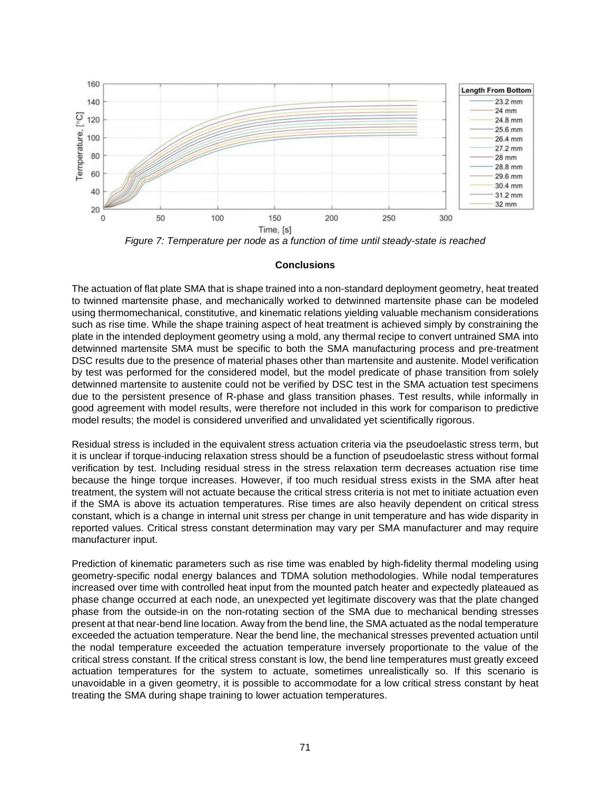

*Figure 7: Temperature per node as a function of time until steady-state is reached* 

### **Conclusions**

The actuation of flat plate SMA that is shape trained into a non-standard deployment geometry, heat treated to twinned martensite phase, and mechanically worked to detwinned martensite phase can be modeled using thermomechanical, constitutive, and kinematic relations yielding valuable mechanism considerations such as rise time. While the shape training aspect of heat treatment is achieved simply by constraining the plate in the intended deployment geometry using a mold, any thermal recipe to convert untrained SMA into detwinned martensite SMA must be specific to both the SMA manufacturing process and pre-treatment DSC results due to the presence of material phases other than martensite and austenite. Model verification by test was performed for the considered model, but the model predicate of phase transition from solely detwinned martensite to austenite could not be verified by DSC test in the SMA actuation test specimens due to the persistent presence of R-phase and glass transition phases. Test results, while informally in good agreement with model results, were therefore not included in this work for comparison to predictive model results; the model is considered unverified and unvalidated yet scientifically rigorous.

Residual stress is included in the equivalent stress actuation criteria via the pseudoelastic stress term, but it is unclear if torque-inducing relaxation stress should be a function of pseudoelastic stress without formal verification by test. Including residual stress in the stress relaxation term decreases actuation rise time because the hinge torque increases. However, if too much residual stress exists in the SMA after heat treatment, the system will not actuate because the critical stress criteria is not met to initiate actuation even if the SMA is above its actuation temperatures. Rise times are also heavily dependent on critical stress constant, which is a change in internal unit stress per change in unit temperature and has wide disparity in reported values. Critical stress constant determination may vary per SMA manufacturer and may require manufacturer input.

Prediction of kinematic parameters such as rise time was enabled by high-fidelity thermal modeling using geometry-specific nodal energy balances and TDMA solution methodologies. While nodal temperatures increased over time with controlled heat input from the mounted patch heater and expectedly plateaued as phase change occurred at each node, an unexpected yet legitimate discovery was that the plate changed phase from the outside-in on the non-rotating section of the SMA due to mechanical bending stresses present at that near-bend line location. Away from the bend line, the SMA actuated as the nodal temperature exceeded the actuation temperature. Near the bend line, the mechanical stresses prevented actuation until the nodal temperature exceeded the actuation temperature inversely proportionate to the value of the critical stress constant. If the critical stress constant is low, the bend line temperatures must greatly exceed actuation temperatures for the system to actuate, sometimes unrealistically so. If this scenario is unavoidable in a given geometry, it is possible to accommodate for a low critical stress constant by heat treating the SMA during shape training to lower actuation temperatures.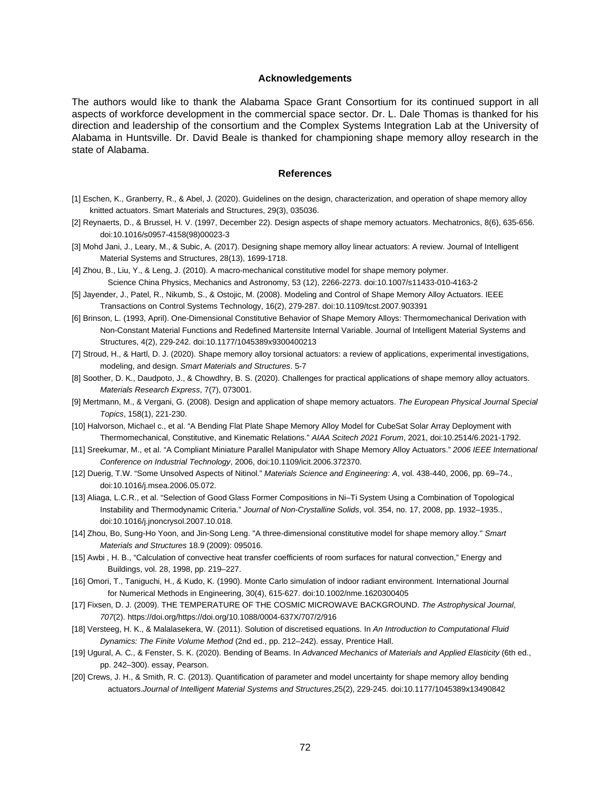#### **Acknowledgements**

The authors would like to thank the Alabama Space Grant Consortium for its continued support in all aspects of workforce development in the commercial space sector. Dr. L. Dale Thomas is thanked for his direction and leadership of the consortium and the Complex Systems Integration Lab at the University of Alabama in Huntsville. Dr. David Beale is thanked for championing shape memory alloy research in the state of Alabama.

#### **References**

- [1] Eschen, K., Granberry, R., & Abel, J. (2020). Guidelines on the design, characterization, and operation of shape memory alloy knitted actuators. Smart Materials and Structures, 29(3), 035036.
- [2] Reynaerts, D., & Brussel, H. V. (1997, December 22). Design aspects of shape memory actuators. Mechatronics, 8(6), 635-656. doi:10.1016/s0957-4158(98)00023-3
- [3] Mohd Jani, J., Leary, M., & Subic, A. (2017). Designing shape memory alloy linear actuators: A review. Journal of Intelligent Material Systems and Structures, 28(13), 1699-1718.
- [4] Zhou, B., Liu, Y., & Leng, J. (2010). A macro-mechanical constitutive model for shape memory polymer. Science China Physics, Mechanics and Astronomy, 53 (12), 2266-2273. doi:10.1007/s11433-010-4163-2
- [5] Jayender, J., Patel, R., Nikumb, S., & Ostojic, M. (2008). Modeling and Control of Shape Memory Alloy Actuators. IEEE Transactions on Control Systems Technology, 16(2), 279-287. doi:10.1109/tcst.2007.903391
- [6] Brinson, L. (1993, April). One-Dimensional Constitutive Behavior of Shape Memory Alloys: Thermomechanical Derivation with Non-Constant Material Functions and Redefined Martensite Internal Variable. Journal of Intelligent Material Systems and Structures, 4(2), 229-242. doi:10.1177/1045389x9300400213
- [7] Stroud, H., & Hartl, D. J. (2020). Shape memory alloy torsional actuators: a review of applications, experimental investigations, modeling, and design. *Smart Materials and Structures*. 5-7
- [8] Soother, D. K., Daudpoto, J., & Chowdhry, B. S. (2020). Challenges for practical applications of shape memory alloy actuators. *Materials Research Express*, 7(7), 073001.
- [9] Mertmann, M., & Vergani, G. (2008). Design and application of shape memory actuators. *The European Physical Journal Special Topics*, 158(1), 221-230.
- [10] Halvorson, Michael c., et al. "A Bending Flat Plate Shape Memory Alloy Model for CubeSat Solar Array Deployment with Thermomechanical, Constitutive, and Kinematic Relations." *AIAA Scitech 2021 Forum*, 2021, doi:10.2514/6.2021-1792.
- [11] Sreekumar, M., et al. "A Compliant Miniature Parallel Manipulator with Shape Memory Alloy Actuators." *2006 IEEE International Conference on Industrial Technology*, 2006, doi:10.1109/icit.2006.372370.
- [12] Duerig, T.W. "Some Unsolved Aspects of Nitinol." *Materials Science and Engineering: A*, vol. 438-440, 2006, pp. 69–74., doi:10.1016/j.msea.2006.05.072.
- [13] Aliaga, L.C.R., et al. "Selection of Good Glass Former Compositions in Ni–Ti System Using a Combination of Topological Instability and Thermodynamic Criteria." *Journal of Non-Crystalline Solids*, vol. 354, no. 17, 2008, pp. 1932–1935., doi:10.1016/j.jnoncrysol.2007.10.018.
- [14] Zhou, Bo, Sung-Ho Yoon, and Jin-Song Leng. "A three-dimensional constitutive model for shape memory alloy." *Smart Materials and Structures* 18.9 (2009): 095016.
- [15] Awbi, H. B., "Calculation of convective heat transfer coefficients of room surfaces for natural convection," Energy and Buildings, vol. 28, 1998, pp. 219–227.
- [16] Omori, T., Taniguchi, H., & Kudo, K. (1990). Monte Carlo simulation of indoor radiant environment. International Journal for Numerical Methods in Engineering, 30(4), 615-627. doi:10.1002/nme.1620300405
- [17] Fixsen, D. J. (2009). THE TEMPERATURE OF THE COSMIC MICROWAVE BACKGROUND. *The Astrophysical Journal*, *707*(2). https://doi.org/https://doi.org/10.1088/0004-637X/707/2/916
- [18] Versteeg, H. K., & Malalasekera, W. (2011). Solution of discretised equations. In *An Introduction to Computational Fluid Dynamics: The Finite Volume Method* (2nd ed., pp. 212–242). essay, Prentice Hall.
- [19] Ugural, A. C., & Fenster, S. K. (2020). Bending of Beams. In *Advanced Mechanics of Materials and Applied Elasticity* (6th ed., pp. 242–300). essay, Pearson.
- [20] Crews, J. H., & Smith, R. C. (2013). Quantification of parameter and model uncertainty for shape memory alloy bending actuators.*Journal of Intelligent Material Systems and Structures*,25(2), 229-245. doi:10.1177/1045389x13490842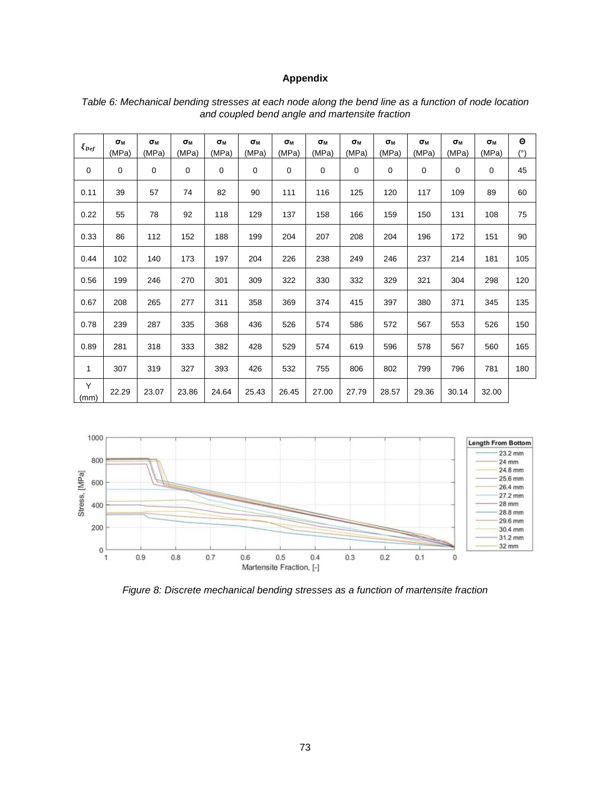# **Appendix**

| $\xi_{Def}$  | $\sigma_{\rm M}$<br>(MPa) | $\sigma_{M}$<br>(MPa) | $\sigma_{M}$<br>(MPa) | $\sigma_{M}$<br>(MPa) | $\sigma_{M}$<br>(MPa) | $\sigma_{M}$<br>(MPa) | $\sigma_{M}$<br>(MPa) | $\sigma_{M}$<br>(MPa) | $\sigma_{M}$<br>(MPa) | $\sigma_{M}$<br>(MPa) | $\sigma_{M}$<br>(MPa) | $\sigma_{M}$<br>(MPa) | $\boldsymbol{\Theta}$<br>(°) |
|--------------|---------------------------|-----------------------|-----------------------|-----------------------|-----------------------|-----------------------|-----------------------|-----------------------|-----------------------|-----------------------|-----------------------|-----------------------|------------------------------|
| $\mathbf 0$  | $\mathbf 0$               | 0                     | $\mathbf 0$           | $\mathbf 0$           | 0                     | $\mathbf 0$           | 0                     | $\mathbf 0$           | 0                     | $\mathbf 0$           | 0                     | 0                     | 45                           |
| 0.11         | 39                        | 57                    | 74                    | 82                    | 90                    | 111                   | 116                   | 125                   | 120                   | 117                   | 109                   | 89                    | 60                           |
| 0.22         | 55                        | 78                    | 92                    | 118                   | 129                   | 137                   | 158                   | 166                   | 159                   | 150                   | 131                   | 108                   | 75                           |
| 0.33         | 86                        | 112                   | 152                   | 188                   | 199                   | 204                   | 207                   | 208                   | 204                   | 196                   | 172                   | 151                   | 90                           |
| 0.44         | 102                       | 140                   | 173                   | 197                   | 204                   | 226                   | 238                   | 249                   | 246                   | 237                   | 214                   | 181                   | 105                          |
| 0.56         | 199                       | 246                   | 270                   | 301                   | 309                   | 322                   | 330                   | 332                   | 329                   | 321                   | 304                   | 298                   | 120                          |
| 0.67         | 208                       | 265                   | 277                   | 311                   | 358                   | 369                   | 374                   | 415                   | 397                   | 380                   | 371                   | 345                   | 135                          |
| 0.78         | 239                       | 287                   | 335                   | 368                   | 436                   | 526                   | 574                   | 586                   | 572                   | 567                   | 553                   | 526                   | 150                          |
| 0.89         | 281                       | 318                   | 333                   | 382                   | 428                   | 529                   | 574                   | 619                   | 596                   | 578                   | 567                   | 560                   | 165                          |
| $\mathbf{1}$ | 307                       | 319                   | 327                   | 393                   | 426                   | 532                   | 755                   | 806                   | 802                   | 799                   | 796                   | 781                   | 180                          |
| Y<br>(mm)    | 22.29                     | 23.07                 | 23.86                 | 24.64                 | 25.43                 | 26.45                 | 27.00                 | 27.79                 | 28.57                 | 29.36                 | 30.14                 | 32.00                 |                              |

#### *Table 6: Mechanical bending stresses at each node along the bend line as a function of node location and coupled bend angle and martensite fraction*



*Figure 8: Discrete mechanical bending stresses as a function of martensite fraction*